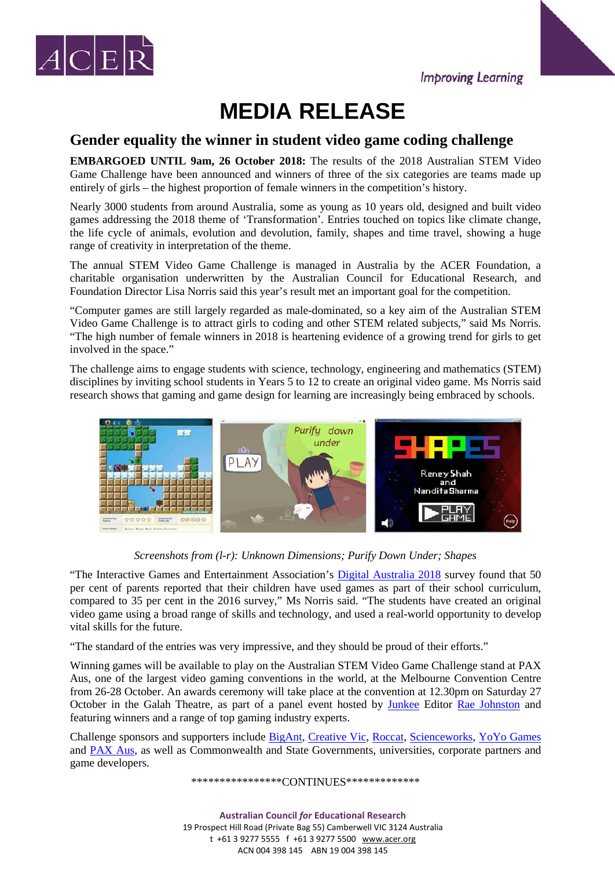



## **MEDIA RELEASE**

## **Gender equality the winner in student video game coding challenge**

**EMBARGOED UNTIL 9am, 26 October 2018:** The results of the 2018 Australian STEM Video Game Challenge have been announced and winners of three of the six categories are teams made up entirely of girls – the highest proportion of female winners in the competition's history.

Nearly 3000 students from around Australia, some as young as 10 years old, designed and built video games addressing the 2018 theme of 'Transformation'. Entries touched on topics like climate change, the life cycle of animals, evolution and devolution, family, shapes and time travel, showing a huge range of creativity in interpretation of the theme.

The annual STEM Video Game Challenge is managed in Australia by the ACER Foundation, a charitable organisation underwritten by the Australian Council for Educational Research, and Foundation Director Lisa Norris said this year's result met an important goal for the competition.

"Computer games are still largely regarded as male-dominated, so a key aim of the Australian STEM Video Game Challenge is to attract girls to coding and other STEM related subjects," said Ms Norris. "The high number of female winners in 2018 is heartening evidence of a growing trend for girls to get involved in the space."

The challenge aims to engage students with science, technology, engineering and mathematics (STEM) disciplines by inviting school students in Years 5 to 12 to create an original video game. Ms Norris said research shows that gaming and game design for learning are increasingly being embraced by schools.



*Screenshots from (l-r): Unknown Dimensions; Purify Down Under; Shapes*

"The Interactive Games and Entertainment Association's [Digital Australia 2018](https://www.igea.net/wp-content/uploads/2017/07/Digital-Australia-2018-DA18-Final-1.pdf) survey found that 50 per cent of parents reported that their children have used games as part of their school curriculum, compared to 35 per cent in the 2016 survey," Ms Norris said. "The students have created an original video game using a broad range of skills and technology, and used a real-world opportunity to develop vital skills for the future.

"The standard of the entries was very impressive, and they should be proud of their efforts."

Winning games will be available to play on the Australian STEM Video Game Challenge stand at PAX Aus, one of the largest video gaming conventions in the world, at the Melbourne Convention Centre from 26-28 October. An awards ceremony will take place at the convention at 12.30pm on Saturday 27 October in the Galah Theatre, as part of a panel event hosted by [Junkee](https://junkee.com/) Editor [Rae Johnston](https://raejohnston.com/) and featuring winners and a range of top gaming industry experts.

Challenge sponsors and supporters include [BigAnt,](https://www.bigant.com/) [Creative Vic,](https://creative.vic.gov.au/) [Roccat,](https://www.roccat.org/en-AU/Home/Overview/) [Scienceworks,](https://museumsvictoria.com.au/scienceworks/) [YoYo Games](http://www.yoyogames.com/) and [PAX Aus,](http://aus.paxsite.com/) as well as Commonwealth and State Governments, universities, corporate partners and game developers.

\*\*\*\*\*\*\*\*\*\*\*\*\*\*\*\*\*CONTINUES\*\*\*\*\*\*\*\*\*\*\*\*\*\*

**Australian Council** *for* **Educational Research** 19 Prospect Hill Road (Private Bag 55) Camberwell VIC 3124 Australia t +61 3 9277 5555 f +61 3 9277 5500 [www.acer.org](http://www.acer.org/) ACN 004 398 145 ABN 19 004 398 145